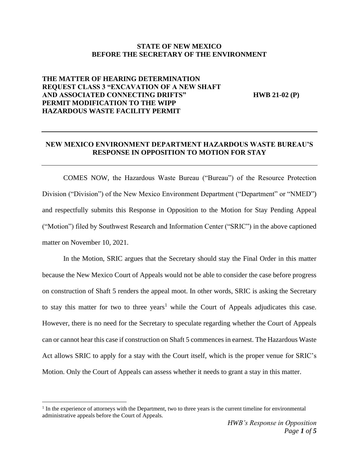## **STATE OF NEW MEXICO BEFORE THE SECRETARY OF THE ENVIRONMENT**

# **THE MATTER OF HEARING DETERMINATION REQUEST CLASS 3 "EXCAVATION OF A NEW SHAFT AND ASSOCIATED CONNECTING DRIFTS" HWB 21-02 (P) PERMIT MODIFICATION TO THE WIPP HAZARDOUS WASTE FACILITY PERMIT**

# **NEW MEXICO ENVIRONMENT DEPARTMENT HAZARDOUS WASTE BUREAU'S RESPONSE IN OPPOSITION TO MOTION FOR STAY**

COMES NOW, the Hazardous Waste Bureau ("Bureau") of the Resource Protection Division ("Division") of the New Mexico Environment Department ("Department" or "NMED") and respectfully submits this Response in Opposition to the Motion for Stay Pending Appeal ("Motion") filed by Southwest Research and Information Center ("SRIC") in the above captioned matter on November 10, 2021.

In the Motion, SRIC argues that the Secretary should stay the Final Order in this matter because the New Mexico Court of Appeals would not be able to consider the case before progress on construction of Shaft 5 renders the appeal moot. In other words, SRIC is asking the Secretary to stay this matter for two to three years<sup>1</sup> while the Court of Appeals adjudicates this case. However, there is no need for the Secretary to speculate regarding whether the Court of Appeals can or cannot hear this case if construction on Shaft 5 commences in earnest. The Hazardous Waste Act allows SRIC to apply for a stay with the Court itself, which is the proper venue for SRIC's Motion. Only the Court of Appeals can assess whether it needs to grant a stay in this matter.

<sup>&</sup>lt;sup>1</sup> In the experience of attorneys with the Department, two to three years is the current timeline for environmental administrative appeals before the Court of Appeals.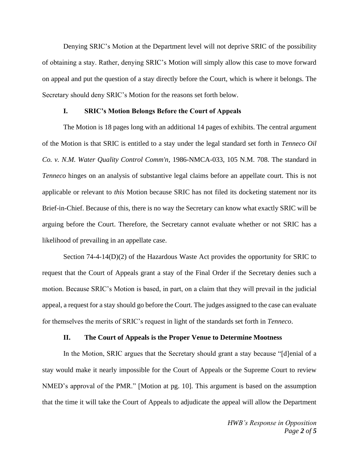Denying SRIC's Motion at the Department level will not deprive SRIC of the possibility of obtaining a stay. Rather, denying SRIC's Motion will simply allow this case to move forward on appeal and put the question of a stay directly before the Court, which is where it belongs. The Secretary should deny SRIC's Motion for the reasons set forth below.

#### **I. SRIC's Motion Belongs Before the Court of Appeals**

The Motion is 18 pages long with an additional 14 pages of exhibits. The central argument of the Motion is that SRIC is entitled to a stay under the legal standard set forth in *Tenneco Oil Co. v. N.M. Water Quality Control Comm'n*, 1986-NMCA-033, 105 N.M. 708. The standard in *Tenneco* hinges on an analysis of substantive legal claims before an appellate court. This is not applicable or relevant to *this* Motion because SRIC has not filed its docketing statement nor its Brief-in-Chief. Because of this, there is no way the Secretary can know what exactly SRIC will be arguing before the Court. Therefore, the Secretary cannot evaluate whether or not SRIC has a likelihood of prevailing in an appellate case.

Section  $74-4-14(D)(2)$  of the Hazardous Waste Act provides the opportunity for SRIC to request that the Court of Appeals grant a stay of the Final Order if the Secretary denies such a motion. Because SRIC's Motion is based, in part, on a claim that they will prevail in the judicial appeal, a request for a stay should go before the Court. The judges assigned to the case can evaluate for themselves the merits of SRIC's request in light of the standards set forth in *Tenneco*.

### **II. The Court of Appeals is the Proper Venue to Determine Mootness**

In the Motion, SRIC argues that the Secretary should grant a stay because "[d]enial of a stay would make it nearly impossible for the Court of Appeals or the Supreme Court to review NMED's approval of the PMR." [Motion at pg. 10]. This argument is based on the assumption that the time it will take the Court of Appeals to adjudicate the appeal will allow the Department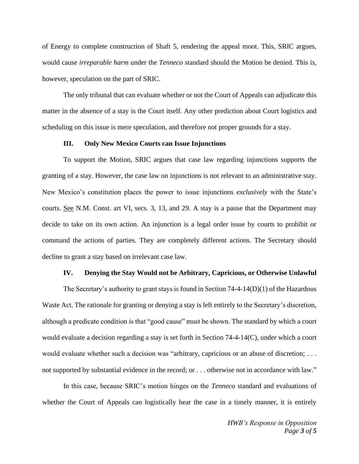of Energy to complete construction of Shaft 5, rendering the appeal moot. This, SRIC argues, would cause *irreparable harm* under the *Tenneco* standard should the Motion be denied. This is, however, speculation on the part of SRIC.

The only tribunal that can evaluate whether or not the Court of Appeals can adjudicate this matter in the absence of a stay is the Court itself. Any other prediction about Court logistics and scheduling on this issue is mere speculation, and therefore not proper grounds for a stay.

#### **III. Only New Mexico Courts can Issue Injunctions**

To support the Motion, SRIC argues that case law regarding injunctions supports the granting of a stay. However, the case law on injunctions is not relevant to an administrative stay. New Mexico's constitution places the power to issue injunctions *exclusively* with the State's courts. See N.M. Const. art VI, secs. 3, 13, and 29. A stay is a pause that the Department may decide to take on its own action. An injunction is a legal order issue by courts to prohibit or command the actions of parties. They are completely different actions. The Secretary should decline to grant a stay based on irrelevant case law.

#### **IV. Denying the Stay Would not be Arbitrary, Capricious, or Otherwise Unlawful**

The Secretary's authority to grant stays is found in Section  $74-4-14(D)(1)$  of the Hazardous Waste Act. The rationale for granting or denying a stay is left entirely to the Secretary's discretion, although a predicate condition is that "good cause" must be shown. The standard by which a court would evaluate a decision regarding a stay is set forth in Section 74-4-14(C), under which a court would evaluate whether such a decision was "arbitrary, capricious or an abuse of discretion; ... not supported by substantial evidence in the record; or . . . otherwise not in accordance with law."

In this case, because SRIC's motion hinges on the *Tenneco* standard and evaluations of whether the Court of Appeals can logistically hear the case in a timely manner, it is entirely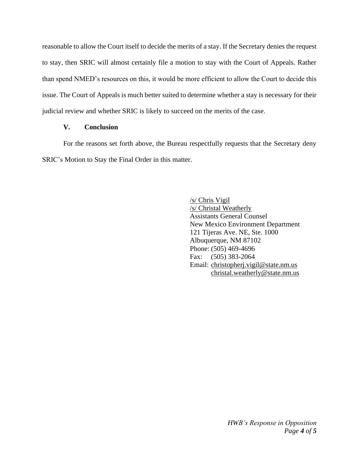reasonable to allow the Court itself to decide the merits of a stay. If the Secretary denies the request to stay, then SRIC will almost certainly file a motion to stay with the Court of Appeals. Rather than spend NMED's resources on this, it would be more efficient to allow the Court to decide this issue. The Court of Appeals is much better suited to determine whether a stay is necessary for their judicial review and whether SRIC is likely to succeed on the merits of the case.

## **V. Conclusion**

For the reasons set forth above, the Bureau respectfully requests that the Secretary deny SRIC's Motion to Stay the Final Order in this matter.

> /s/ Chris Vigil /s/ Christal Weatherly Assistants General Counsel New Mexico Environment Department 121 Tijeras Ave. NE, Ste. 1000 Albuquerque, NM 87102 Phone: (505) 469-4696 Fax: (505) 383-2064 Email: christopherj.vigil@state.nm.us christal.weatherly@state.nm.us